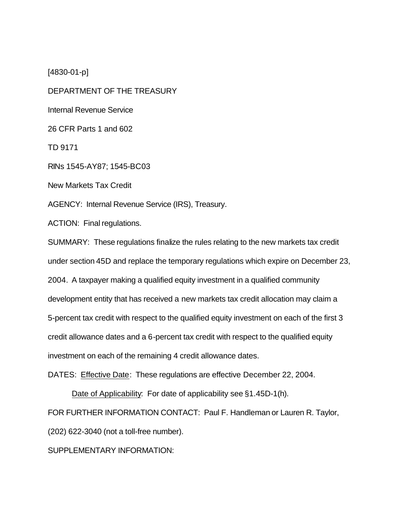[4830-01-p]

DEPARTMENT OF THE TREASURY

Internal Revenue Service

26 CFR Parts 1 and 602

TD 9171

RINs 1545-AY87; 1545-BC03

New Markets Tax Credit

AGENCY: Internal Revenue Service (IRS), Treasury.

ACTION: Final regulations.

SUMMARY: These regulations finalize the rules relating to the new markets tax credit under section 45D and replace the temporary regulations which expire on December 23, 2004. A taxpayer making a qualified equity investment in a qualified community development entity that has received a new markets tax credit allocation may claim a 5-percent tax credit with respect to the qualified equity investment on each of the first 3 credit allowance dates and a 6-percent tax credit with respect to the qualified equity investment on each of the remaining 4 credit allowance dates.

DATES: Effective Date: These regulations are effective December 22, 2004.

Date of Applicability: For date of applicability see §1.45D-1(h).

FOR FURTHER INFORMATION CONTACT: Paul F. Handleman or Lauren R. Taylor,

(202) 622-3040 (not a toll-free number).

# SUPPLEMENTARY INFORMATION: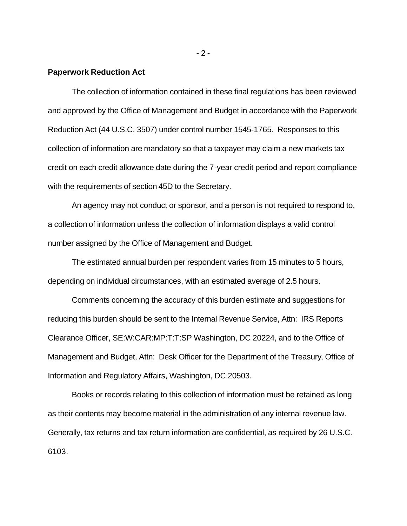#### **Paperwork Reduction Act**

The collection of information contained in these final regulations has been reviewed and approved by the Office of Management and Budget in accordance with the Paperwork Reduction Act (44 U.S.C. 3507) under control number 1545-1765. Responses to this collection of information are mandatory so that a taxpayer may claim a new markets tax credit on each credit allowance date during the 7-year credit period and report compliance with the requirements of section 45D to the Secretary.

An agency may not conduct or sponsor, and a person is not required to respond to, a collection of information unless the collection of information displays a valid control number assigned by the Office of Management and Budget.

The estimated annual burden per respondent varies from 15 minutes to 5 hours, depending on individual circumstances, with an estimated average of 2.5 hours.

Comments concerning the accuracy of this burden estimate and suggestions for reducing this burden should be sent to the Internal Revenue Service, Attn: IRS Reports Clearance Officer, SE:W:CAR:MP:T:T:SP Washington, DC 20224, and to the Office of Management and Budget, Attn: Desk Officer for the Department of the Treasury, Office of Information and Regulatory Affairs, Washington, DC 20503.

Books or records relating to this collection of information must be retained as long as their contents may become material in the administration of any internal revenue law. Generally, tax returns and tax return information are confidential, as required by 26 U.S.C. 6103.

 $-2 -$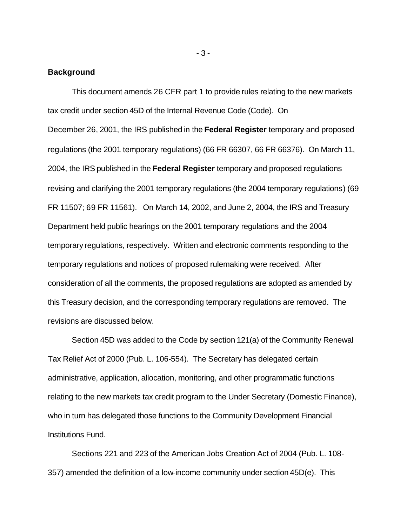### **Background**

This document amends 26 CFR part 1 to provide rules relating to the new markets tax credit under section 45D of the Internal Revenue Code (Code). On December 26, 2001, the IRS published in the **Federal Register** temporary and proposed regulations (the 2001 temporary regulations) (66 FR 66307, 66 FR 66376). On March 11, 2004, the IRS published in the **Federal Register** temporary and proposed regulations revising and clarifying the 2001 temporary regulations (the 2004 temporary regulations) (69 FR 11507; 69 FR 11561). On March 14, 2002, and June 2, 2004, the IRS and Treasury Department held public hearings on the 2001 temporary regulations and the 2004 temporary regulations, respectively. Written and electronic comments responding to the temporary regulations and notices of proposed rulemaking were received. After consideration of all the comments, the proposed regulations are adopted as amended by this Treasury decision, and the corresponding temporary regulations are removed. The revisions are discussed below.

Section 45D was added to the Code by section 121(a) of the Community Renewal Tax Relief Act of 2000 (Pub. L. 106-554). The Secretary has delegated certain administrative, application, allocation, monitoring, and other programmatic functions relating to the new markets tax credit program to the Under Secretary (Domestic Finance), who in turn has delegated those functions to the Community Development Financial Institutions Fund.

Sections 221 and 223 of the American Jobs Creation Act of 2004 (Pub. L. 108- 357) amended the definition of a low-income community under section 45D(e). This

- 3 -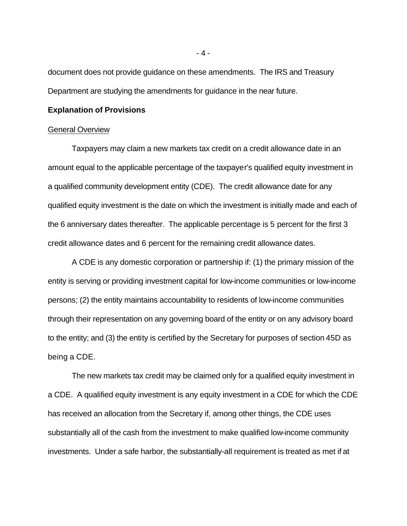document does not provide guidance on these amendments. The IRS and Treasury Department are studying the amendments for guidance in the near future.

# **Explanation of Provisions**

#### General Overview

Taxpayers may claim a new markets tax credit on a credit allowance date in an amount equal to the applicable percentage of the taxpayer's qualified equity investment in a qualified community development entity (CDE). The credit allowance date for any qualified equity investment is the date on which the investment is initially made and each of the 6 anniversary dates thereafter. The applicable percentage is 5 percent for the first 3 credit allowance dates and 6 percent for the remaining credit allowance dates.

A CDE is any domestic corporation or partnership if: (1) the primary mission of the entity is serving or providing investment capital for low-income communities or low-income persons; (2) the entity maintains accountability to residents of low-income communities through their representation on any governing board of the entity or on any advisory board to the entity; and (3) the entity is certified by the Secretary for purposes of section 45D as being a CDE.

The new markets tax credit may be claimed only for a qualified equity investment in a CDE. A qualified equity investment is any equity investment in a CDE for which the CDE has received an allocation from the Secretary if, among other things, the CDE uses substantially all of the cash from the investment to make qualified low-income community investments. Under a safe harbor, the substantially-all requirement is treated as met if at

- 4 -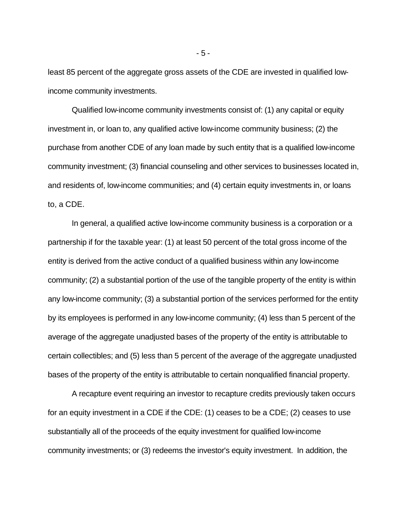least 85 percent of the aggregate gross assets of the CDE are invested in qualified lowincome community investments.

Qualified low-income community investments consist of: (1) any capital or equity investment in, or loan to, any qualified active low-income community business; (2) the purchase from another CDE of any loan made by such entity that is a qualified low-income community investment; (3) financial counseling and other services to businesses located in, and residents of, low-income communities; and (4) certain equity investments in, or loans to, a CDE.

In general, a qualified active low-income community business is a corporation or a partnership if for the taxable year: (1) at least 50 percent of the total gross income of the entity is derived from the active conduct of a qualified business within any low-income community; (2) a substantial portion of the use of the tangible property of the entity is within any low-income community; (3) a substantial portion of the services performed for the entity by its employees is performed in any low-income community; (4) less than 5 percent of the average of the aggregate unadjusted bases of the property of the entity is attributable to certain collectibles; and (5) less than 5 percent of the average of the aggregate unadjusted bases of the property of the entity is attributable to certain nonqualified financial property.

A recapture event requiring an investor to recapture credits previously taken occurs for an equity investment in a CDE if the CDE: (1) ceases to be a CDE; (2) ceases to use substantially all of the proceeds of the equity investment for qualified low-income community investments; or (3) redeems the investor's equity investment. In addition, the

- 5 -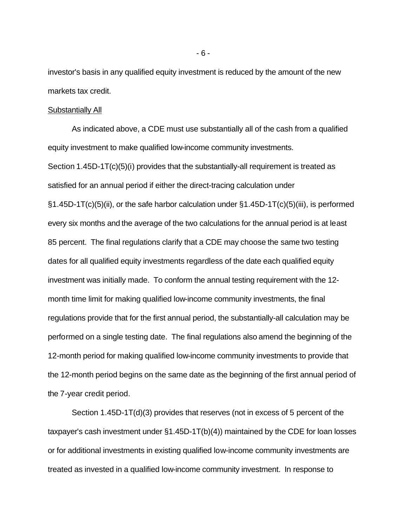investor's basis in any qualified equity investment is reduced by the amount of the new markets tax credit.

#### Substantially All

As indicated above, a CDE must use substantially all of the cash from a qualified equity investment to make qualified low-income community investments. Section 1.45D-1T(c)(5)(i) provides that the substantially-all requirement is treated as satisfied for an annual period if either the direct-tracing calculation under §1.45D-1T(c)(5)(ii), or the safe harbor calculation under §1.45D-1T(c)(5)(iii), is performed every six months and the average of the two calculations for the annual period is at least 85 percent. The final regulations clarify that a CDE may choose the same two testing dates for all qualified equity investments regardless of the date each qualified equity investment was initially made. To conform the annual testing requirement with the 12 month time limit for making qualified low-income community investments, the final regulations provide that for the first annual period, the substantially-all calculation may be performed on a single testing date. The final regulations also amend the beginning of the 12-month period for making qualified low-income community investments to provide that the 12-month period begins on the same date as the beginning of the first annual period of the 7-year credit period.

Section 1.45D-1T(d)(3) provides that reserves (not in excess of 5 percent of the taxpayer's cash investment under §1.45D-1T(b)(4)) maintained by the CDE for loan losses or for additional investments in existing qualified low-income community investments are treated as invested in a qualified low-income community investment. In response to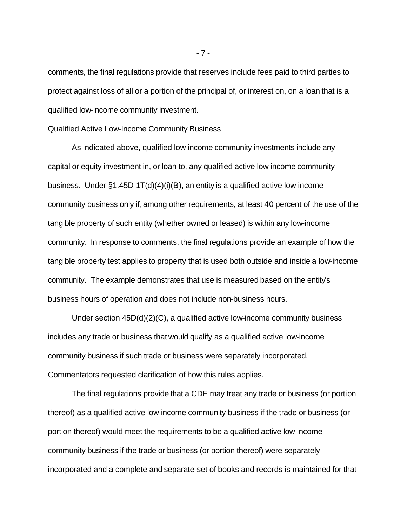comments, the final regulations provide that reserves include fees paid to third parties to protect against loss of all or a portion of the principal of, or interest on, on a loan that is a qualified low-income community investment.

#### Qualified Active Low-Income Community Business

As indicated above, qualified low-income community investments include any capital or equity investment in, or loan to, any qualified active low-income community business. Under §1.45D-1T(d)(4)(i)(B), an entity is a qualified active low-income community business only if, among other requirements, at least 40 percent of the use of the tangible property of such entity (whether owned or leased) is within any low-income community. In response to comments, the final regulations provide an example of how the tangible property test applies to property that is used both outside and inside a low-income community. The example demonstrates that use is measured based on the entity's business hours of operation and does not include non-business hours.

Under section 45D(d)(2)(C), a qualified active low-income community business includes any trade or business that would qualify as a qualified active low-income community business if such trade or business were separately incorporated. Commentators requested clarification of how this rules applies.

The final regulations provide that a CDE may treat any trade or business (or portion thereof) as a qualified active low-income community business if the trade or business (or portion thereof) would meet the requirements to be a qualified active low-income community business if the trade or business (or portion thereof) were separately incorporated and a complete and separate set of books and records is maintained for that

- 7 -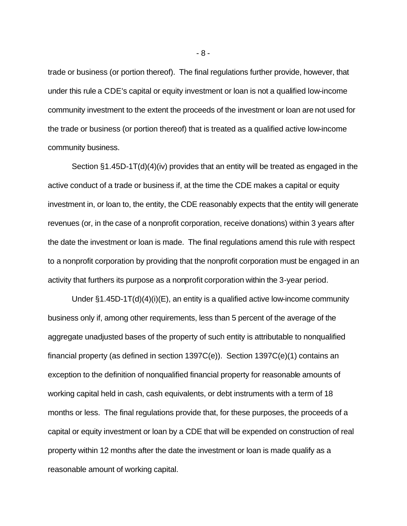trade or business (or portion thereof). The final regulations further provide, however, that under this rule a CDE's capital or equity investment or loan is not a qualified low-income community investment to the extent the proceeds of the investment or loan are not used for the trade or business (or portion thereof) that is treated as a qualified active low-income community business.

Section §1.45D-1T(d)(4)(iv) provides that an entity will be treated as engaged in the active conduct of a trade or business if, at the time the CDE makes a capital or equity investment in, or loan to, the entity, the CDE reasonably expects that the entity will generate revenues (or, in the case of a nonprofit corporation, receive donations) within 3 years after the date the investment or loan is made. The final regulations amend this rule with respect to a nonprofit corporation by providing that the nonprofit corporation must be engaged in an activity that furthers its purpose as a nonprofit corporation within the 3-year period.

Under §1.45D-1T(d)(4)(i)(E), an entity is a qualified active low-income community business only if, among other requirements, less than 5 percent of the average of the aggregate unadjusted bases of the property of such entity is attributable to nonqualified financial property (as defined in section 1397C(e)). Section 1397C(e)(1) contains an exception to the definition of nonqualified financial property for reasonable amounts of working capital held in cash, cash equivalents, or debt instruments with a term of 18 months or less. The final regulations provide that, for these purposes, the proceeds of a capital or equity investment or loan by a CDE that will be expended on construction of real property within 12 months after the date the investment or loan is made qualify as a reasonable amount of working capital.

- 8 -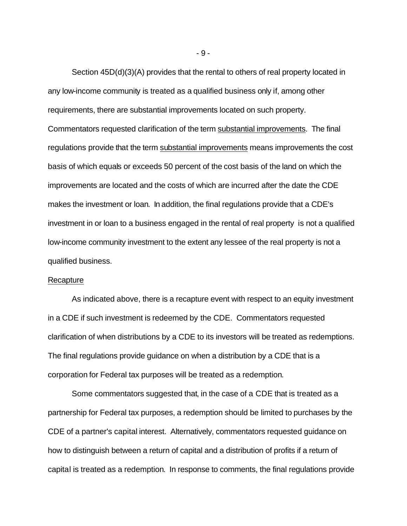Section 45D(d)(3)(A) provides that the rental to others of real property located in any low-income community is treated as a qualified business only if, among other requirements, there are substantial improvements located on such property. Commentators requested clarification of the term substantial improvements. The final regulations provide that the term substantial improvements means improvements the cost basis of which equals or exceeds 50 percent of the cost basis of the land on which the improvements are located and the costs of which are incurred after the date the CDE makes the investment or loan. In addition, the final regulations provide that a CDE's investment in or loan to a business engaged in the rental of real property is not a qualified low-income community investment to the extent any lessee of the real property is not a qualified business.

#### Recapture

As indicated above, there is a recapture event with respect to an equity investment in a CDE if such investment is redeemed by the CDE. Commentators requested clarification of when distributions by a CDE to its investors will be treated as redemptions. The final regulations provide guidance on when a distribution by a CDE that is a corporation for Federal tax purposes will be treated as a redemption.

Some commentators suggested that, in the case of a CDE that is treated as a partnership for Federal tax purposes, a redemption should be limited to purchases by the CDE of a partner's capital interest. Alternatively, commentators requested guidance on how to distinguish between a return of capital and a distribution of profits if a return of capital is treated as a redemption. In response to comments, the final regulations provide

- 9 -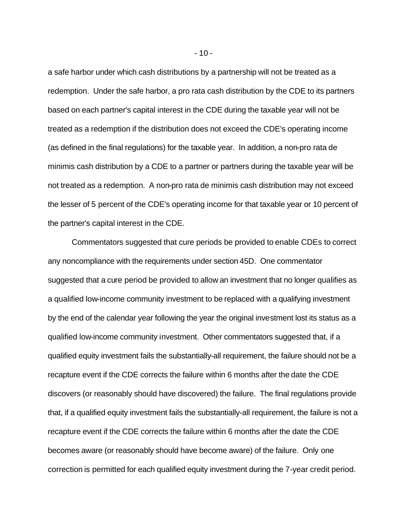a safe harbor under which cash distributions by a partnership will not be treated as a redemption. Under the safe harbor, a pro rata cash distribution by the CDE to its partners based on each partner's capital interest in the CDE during the taxable year will not be treated as a redemption if the distribution does not exceed the CDE's operating income (as defined in the final regulations) for the taxable year. In addition, a non-pro rata de minimis cash distribution by a CDE to a partner or partners during the taxable year will be not treated as a redemption. A non-pro rata de minimis cash distribution may not exceed the lesser of 5 percent of the CDE's operating income for that taxable year or 10 percent of the partner's capital interest in the CDE.

Commentators suggested that cure periods be provided to enable CDEs to correct any noncompliance with the requirements under section 45D. One commentator suggested that a cure period be provided to allow an investment that no longer qualifies as a qualified low-income community investment to be replaced with a qualifying investment by the end of the calendar year following the year the original investment lost its status as a qualified low-income community investment. Other commentators suggested that, if a qualified equity investment fails the substantially-all requirement, the failure should not be a recapture event if the CDE corrects the failure within 6 months after the date the CDE discovers (or reasonably should have discovered) the failure. The final regulations provide that, if a qualified equity investment fails the substantially-all requirement, the failure is not a recapture event if the CDE corrects the failure within 6 months after the date the CDE becomes aware (or reasonably should have become aware) of the failure. Only one correction is permitted for each qualified equity investment during the 7-year credit period.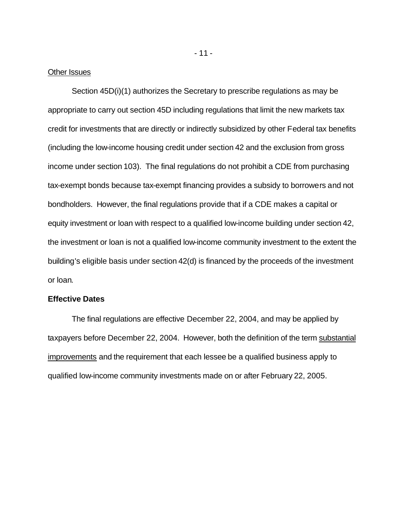#### Other Issues

Section 45D(i)(1) authorizes the Secretary to prescribe regulations as may be appropriate to carry out section 45D including regulations that limit the new markets tax credit for investments that are directly or indirectly subsidized by other Federal tax benefits (including the low-income housing credit under section 42 and the exclusion from gross income under section 103). The final regulations do not prohibit a CDE from purchasing tax-exempt bonds because tax-exempt financing provides a subsidy to borrowers and not bondholders. However, the final regulations provide that if a CDE makes a capital or equity investment or loan with respect to a qualified low-income building under section 42, the investment or loan is not a qualified low-income community investment to the extent the building's eligible basis under section 42(d) is financed by the proceeds of the investment or loan.

### **Effective Dates**

The final regulations are effective December 22, 2004, and may be applied by taxpayers before December 22, 2004. However, both the definition of the term substantial improvements and the requirement that each lessee be a qualified business apply to qualified low-income community investments made on or after February 22, 2005.

- 11 -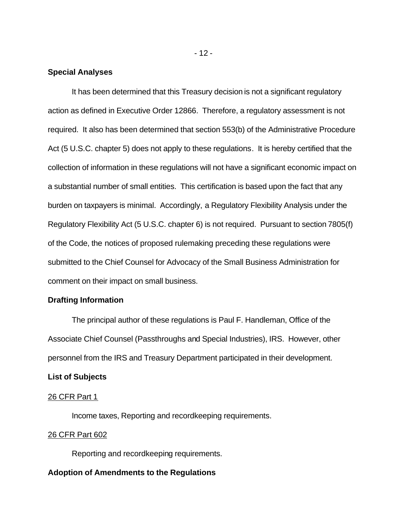# **Special Analyses**

It has been determined that this Treasury decision is not a significant regulatory action as defined in Executive Order 12866. Therefore, a regulatory assessment is not required. It also has been determined that section 553(b) of the Administrative Procedure Act (5 U.S.C. chapter 5) does not apply to these regulations. It is hereby certified that the collection of information in these regulations will not have a significant economic impact on a substantial number of small entities. This certification is based upon the fact that any burden on taxpayers is minimal. Accordingly, a Regulatory Flexibility Analysis under the Regulatory Flexibility Act (5 U.S.C. chapter 6) is not required. Pursuant to section 7805(f) of the Code, the notices of proposed rulemaking preceding these regulations were submitted to the Chief Counsel for Advocacy of the Small Business Administration for comment on their impact on small business.

# **Drafting Information**

The principal author of these regulations is Paul F. Handleman, Office of the Associate Chief Counsel (Passthroughs and Special Industries), IRS. However, other personnel from the IRS and Treasury Department participated in their development.

# **List of Subjects**

## 26 CFR Part 1

Income taxes, Reporting and recordkeeping requirements.

# 26 CFR Part 602

Reporting and recordkeeping requirements.

## **Adoption of Amendments to the Regulations**

- 12 -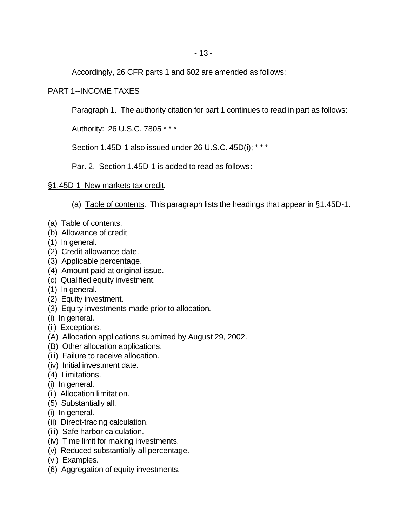Accordingly, 26 CFR parts 1 and 602 are amended as follows:

# PART 1--INCOME TAXES

Paragraph 1. The authority citation for part 1 continues to read in part as follows:

Authority: 26 U.S.C. 7805 \* \* \*

Section 1.45D-1 also issued under 26 U.S.C. 45D(i); \*\*\*

Par. 2. Section 1.45D-1 is added to read as follows:

# §1.45D-1 New markets tax credit.

(a) Table of contents. This paragraph lists the headings that appear in §1.45D-1.

- (a) Table of contents.
- (b) Allowance of credit
- (1) In general.
- (2) Credit allowance date.
- (3) Applicable percentage.
- (4) Amount paid at original issue.
- (c) Qualified equity investment.
- (1) In general.
- (2) Equity investment.
- (3) Equity investments made prior to allocation.
- (i) In general.
- (ii) Exceptions.
- (A) Allocation applications submitted by August 29, 2002.
- (B) Other allocation applications.
- (iii) Failure to receive allocation.
- (iv) Initial investment date.
- (4) Limitations.
- (i) In general.
- (ii) Allocation limitation.
- (5) Substantially all.
- (i) In general.
- (ii) Direct-tracing calculation.
- (iii) Safe harbor calculation.
- (iv) Time limit for making investments.
- (v) Reduced substantially-all percentage.
- (vi) Examples.
- (6) Aggregation of equity investments.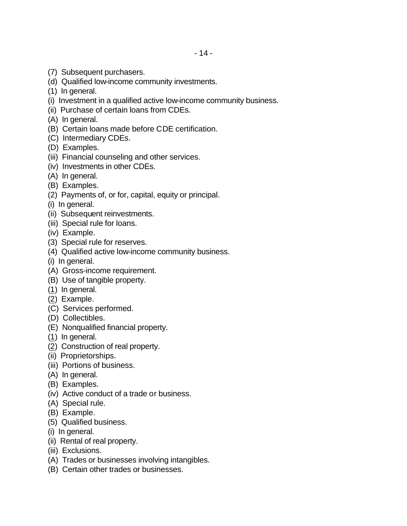- (7) Subsequent purchasers.
- (d) Qualified low-income community investments.
- (1) In general.
- (i) Investment in a qualified active low-income community business.
- (ii) Purchase of certain loans from CDEs.
- (A) In general.
- (B) Certain loans made before CDE certification.
- (C) Intermediary CDEs.
- (D) Examples.
- (iii) Financial counseling and other services.
- (iv) Investments in other CDEs.
- (A) In general.
- (B) Examples.
- (2) Payments of, or for, capital, equity or principal.
- (i) In general.
- (ii) Subsequent reinvestments.
- (iii) Special rule for loans.
- (iv) Example.
- (3) Special rule for reserves.
- (4) Qualified active low-income community business.
- (i) In general.
- (A) Gross-income requirement.
- (B) Use of tangible property.
- (1) In general.
- (2) Example.
- (C) Services performed.
- (D) Collectibles.
- (E) Nonqualified financial property.
- (1) In general.
- (2) Construction of real property.
- (ii) Proprietorships.
- (iii) Portions of business.
- (A) In general.
- (B) Examples.
- (iv) Active conduct of a trade or business.
- (A) Special rule.
- (B) Example.
- (5) Qualified business.
- (i) In general.
- (ii) Rental of real property.
- (iii) Exclusions.
- (A) Trades or businesses involving intangibles.
- (B) Certain other trades or businesses.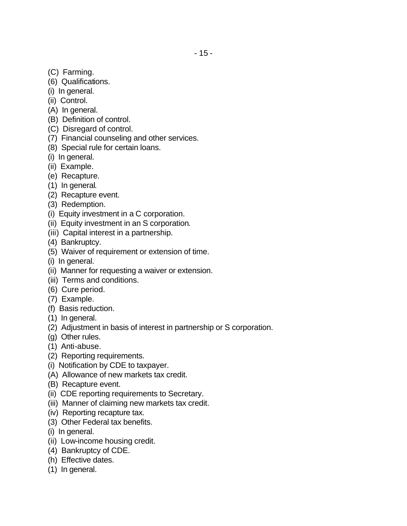- (C) Farming.
- (6) Qualifications.
- (i) In general.
- (ii) Control.
- (A) In general.
- (B) Definition of control.
- (C) Disregard of control.
- (7) Financial counseling and other services.
- (8) Special rule for certain loans.
- (i) In general.
- (ii) Example.
- (e) Recapture.
- (1) In general.
- (2) Recapture event.
- (3) Redemption.
- (i) Equity investment in a C corporation.
- (ii) Equity investment in an S corporation.
- (iii) Capital interest in a partnership.
- (4) Bankruptcy.
- (5) Waiver of requirement or extension of time.
- (i) In general.
- (ii) Manner for requesting a waiver or extension.
- (iii) Terms and conditions.
- (6) Cure period.
- (7) Example.
- (f) Basis reduction.
- (1) In general.
- (2) Adjustment in basis of interest in partnership or S corporation.
- (g) Other rules.
- (1) Anti-abuse.
- (2) Reporting requirements.
- (i) Notification by CDE to taxpayer.
- (A) Allowance of new markets tax credit.
- (B) Recapture event.
- (ii) CDE reporting requirements to Secretary.
- (iii) Manner of claiming new markets tax credit.
- (iv) Reporting recapture tax.
- (3) Other Federal tax benefits.
- (i) In general.
- (ii) Low-income housing credit.
- (4) Bankruptcy of CDE.
- (h) Effective dates.
- (1) In general.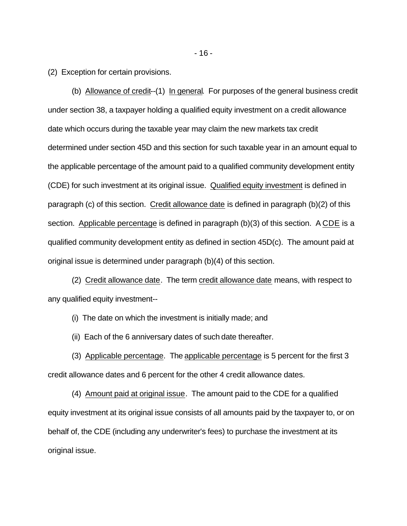(2) Exception for certain provisions.

(b) Allowance of credit--(1) In general. For purposes of the general business credit under section 38, a taxpayer holding a qualified equity investment on a credit allowance date which occurs during the taxable year may claim the new markets tax credit determined under section 45D and this section for such taxable year in an amount equal to the applicable percentage of the amount paid to a qualified community development entity (CDE) for such investment at its original issue. Qualified equity investment is defined in paragraph (c) of this section. Credit allowance date is defined in paragraph (b)(2) of this section. Applicable percentage is defined in paragraph (b)(3) of this section. A CDE is a qualified community development entity as defined in section 45D(c). The amount paid at original issue is determined under paragraph (b)(4) of this section.

(2) Credit allowance date. The term credit allowance date means, with respect to any qualified equity investment--

(i) The date on which the investment is initially made; and

(ii) Each of the 6 anniversary dates of such date thereafter.

(3) Applicable percentage. The applicable percentage is 5 percent for the first 3 credit allowance dates and 6 percent for the other 4 credit allowance dates.

(4) Amount paid at original issue. The amount paid to the CDE for a qualified equity investment at its original issue consists of all amounts paid by the taxpayer to, or on behalf of, the CDE (including any underwriter's fees) to purchase the investment at its original issue.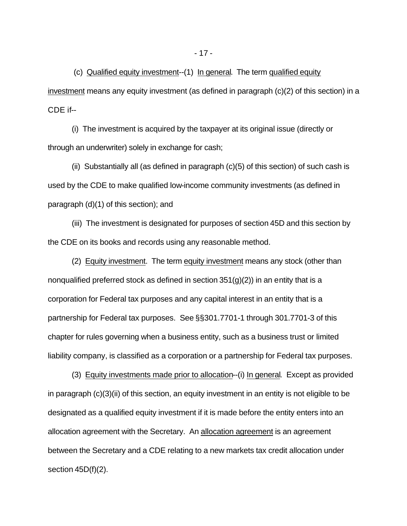(c) Qualified equity investment--(1) In general. The term qualified equity investment means any equity investment (as defined in paragraph (c)(2) of this section) in a CDE if--

(i) The investment is acquired by the taxpayer at its original issue (directly or through an underwriter) solely in exchange for cash;

(ii) Substantially all (as defined in paragraph (c)(5) of this section) of such cash is used by the CDE to make qualified low-income community investments (as defined in paragraph (d)(1) of this section); and

(iii) The investment is designated for purposes of section 45D and this section by the CDE on its books and records using any reasonable method.

(2) Equity investment. The term equity investment means any stock (other than nonqualified preferred stock as defined in section  $351(q)(2)$ ) in an entity that is a corporation for Federal tax purposes and any capital interest in an entity that is a partnership for Federal tax purposes. See §§301.7701-1 through 301.7701-3 of this chapter for rules governing when a business entity, such as a business trust or limited liability company, is classified as a corporation or a partnership for Federal tax purposes.

(3) Equity investments made prior to allocation--(i) In general. Except as provided in paragraph (c)(3)(ii) of this section, an equity investment in an entity is not eligible to be designated as a qualified equity investment if it is made before the entity enters into an allocation agreement with the Secretary. An allocation agreement is an agreement between the Secretary and a CDE relating to a new markets tax credit allocation under section 45D(f)(2).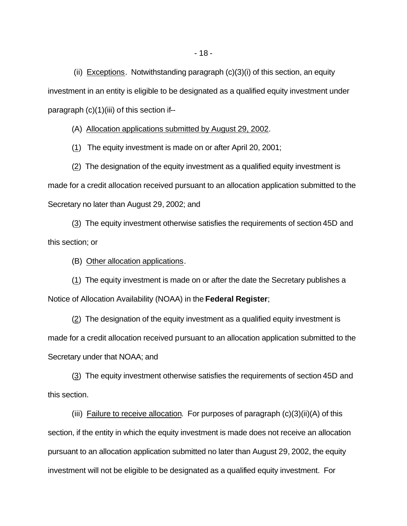(ii) Exceptions. Notwithstanding paragraph (c)(3)(i) of this section, an equity investment in an entity is eligible to be designated as a qualified equity investment under paragraph (c)(1)(iii) of this section if--

(A) Allocation applications submitted by August 29, 2002.

(1) The equity investment is made on or after April 20, 2001;

(2) The designation of the equity investment as a qualified equity investment is made for a credit allocation received pursuant to an allocation application submitted to the Secretary no later than August 29, 2002; and

(3) The equity investment otherwise satisfies the requirements of section 45D and this section; or

(B) Other allocation applications.

(1) The equity investment is made on or after the date the Secretary publishes a Notice of Allocation Availability (NOAA) in the **Federal Register**;

(2) The designation of the equity investment as a qualified equity investment is made for a credit allocation received pursuant to an allocation application submitted to the Secretary under that NOAA; and

(3) The equity investment otherwise satisfies the requirements of section 45D and this section.

(iii) Failure to receive allocation. For purposes of paragraph  $(c)(3)(ii)(A)$  of this section, if the entity in which the equity investment is made does not receive an allocation pursuant to an allocation application submitted no later than August 29, 2002, the equity investment will not be eligible to be designated as a qualified equity investment. For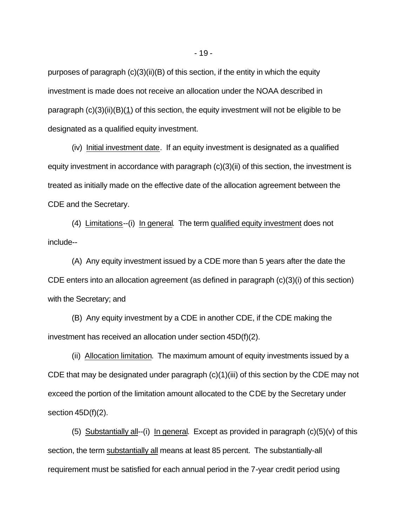purposes of paragraph (c)(3)(ii)(B) of this section, if the entity in which the equity investment is made does not receive an allocation under the NOAA described in paragraph  $(c)(3)(ii)(B)(1)$  of this section, the equity investment will not be eligible to be designated as a qualified equity investment.

(iv) Initial investment date. If an equity investment is designated as a qualified equity investment in accordance with paragraph (c)(3)(ii) of this section, the investment is treated as initially made on the effective date of the allocation agreement between the CDE and the Secretary.

(4) Limitations--(i) In general. The term qualified equity investment does not include--

(A) Any equity investment issued by a CDE more than 5 years after the date the CDE enters into an allocation agreement (as defined in paragraph (c)(3)(i) of this section) with the Secretary; and

(B) Any equity investment by a CDE in another CDE, if the CDE making the investment has received an allocation under section 45D(f)(2).

(ii) Allocation limitation. The maximum amount of equity investments issued by a CDE that may be designated under paragraph (c)(1)(iii) of this section by the CDE may not exceed the portion of the limitation amount allocated to the CDE by the Secretary under section 45D(f)(2).

(5) Substantially all--(i) In general. Except as provided in paragraph  $(c)(5)(v)$  of this section, the term substantially all means at least 85 percent. The substantially-all requirement must be satisfied for each annual period in the 7-year credit period using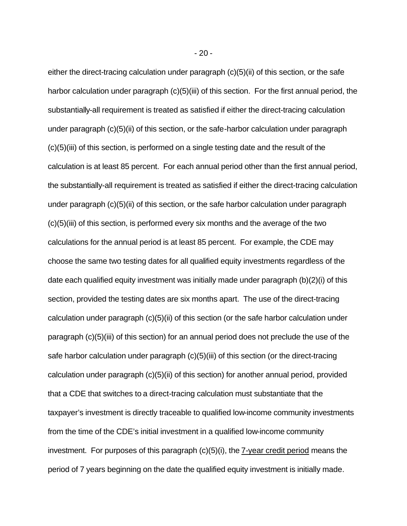either the direct-tracing calculation under paragraph (c)(5)(ii) of this section, or the safe harbor calculation under paragraph (c)(5)(iii) of this section. For the first annual period, the substantially-all requirement is treated as satisfied if either the direct-tracing calculation under paragraph (c)(5)(ii) of this section, or the safe-harbor calculation under paragraph (c)(5)(iii) of this section, is performed on a single testing date and the result of the calculation is at least 85 percent. For each annual period other than the first annual period, the substantially-all requirement is treated as satisfied if either the direct-tracing calculation under paragraph (c)(5)(ii) of this section, or the safe harbor calculation under paragraph (c)(5)(iii) of this section, is performed every six months and the average of the two calculations for the annual period is at least 85 percent. For example, the CDE may choose the same two testing dates for all qualified equity investments regardless of the date each qualified equity investment was initially made under paragraph (b)(2)(i) of this section, provided the testing dates are six months apart. The use of the direct-tracing calculation under paragraph (c)(5)(ii) of this section (or the safe harbor calculation under paragraph (c)(5)(iii) of this section) for an annual period does not preclude the use of the safe harbor calculation under paragraph (c)(5)(iii) of this section (or the direct-tracing calculation under paragraph (c)(5)(ii) of this section) for another annual period, provided that a CDE that switches to a direct-tracing calculation must substantiate that the taxpayer's investment is directly traceable to qualified low-income community investments from the time of the CDE's initial investment in a qualified low-income community investment. For purposes of this paragraph (c)(5)(i), the 7-year credit period means the period of 7 years beginning on the date the qualified equity investment is initially made.

- 20 -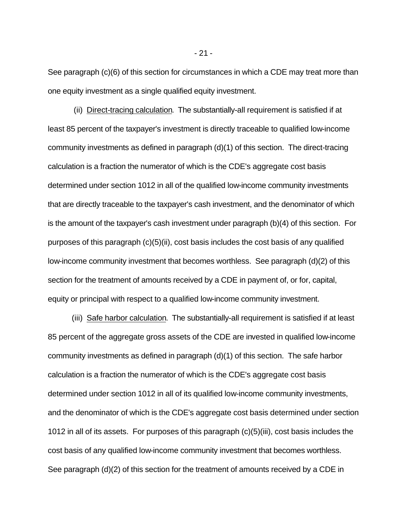See paragraph (c)(6) of this section for circumstances in which a CDE may treat more than one equity investment as a single qualified equity investment.

 (ii) Direct-tracing calculation. The substantially-all requirement is satisfied if at least 85 percent of the taxpayer's investment is directly traceable to qualified low-income community investments as defined in paragraph (d)(1) of this section. The direct-tracing calculation is a fraction the numerator of which is the CDE's aggregate cost basis determined under section 1012 in all of the qualified low-income community investments that are directly traceable to the taxpayer's cash investment, and the denominator of which is the amount of the taxpayer's cash investment under paragraph (b)(4) of this section. For purposes of this paragraph (c)(5)(ii), cost basis includes the cost basis of any qualified low-income community investment that becomes worthless. See paragraph (d)(2) of this section for the treatment of amounts received by a CDE in payment of, or for, capital, equity or principal with respect to a qualified low-income community investment.

(iii) Safe harbor calculation. The substantially-all requirement is satisfied if at least 85 percent of the aggregate gross assets of the CDE are invested in qualified low-income community investments as defined in paragraph (d)(1) of this section. The safe harbor calculation is a fraction the numerator of which is the CDE's aggregate cost basis determined under section 1012 in all of its qualified low-income community investments, and the denominator of which is the CDE's aggregate cost basis determined under section 1012 in all of its assets. For purposes of this paragraph (c)(5)(iii), cost basis includes the cost basis of any qualified low-income community investment that becomes worthless. See paragraph (d)(2) of this section for the treatment of amounts received by a CDE in

- 21 -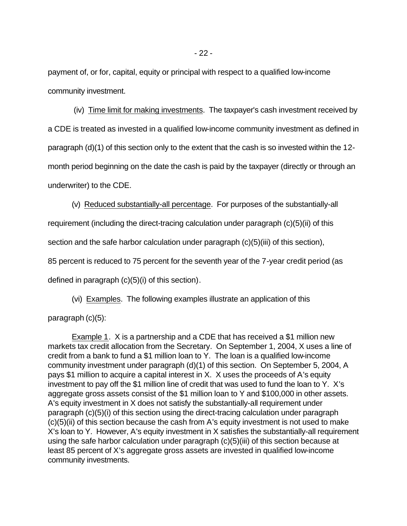payment of, or for, capital, equity or principal with respect to a qualified low-income community investment.

 (iv) Time limit for making investments. The taxpayer's cash investment received by a CDE is treated as invested in a qualified low-income community investment as defined in paragraph (d)(1) of this section only to the extent that the cash is so invested within the 12 month period beginning on the date the cash is paid by the taxpayer (directly or through an underwriter) to the CDE.

(v) Reduced substantially-all percentage. For purposes of the substantially-all

requirement (including the direct-tracing calculation under paragraph (c)(5)(ii) of this

section and the safe harbor calculation under paragraph (c)(5)(iii) of this section),

85 percent is reduced to 75 percent for the seventh year of the 7-year credit period (as

defined in paragraph (c)(5)(i) of this section).

(vi) Examples. The following examples illustrate an application of this

paragraph (c)(5):

Example 1. X is a partnership and a CDE that has received a \$1 million new markets tax credit allocation from the Secretary. On September 1, 2004, X uses a line of credit from a bank to fund a \$1 million loan to Y. The loan is a qualified low-income community investment under paragraph (d)(1) of this section. On September 5, 2004, A pays \$1 million to acquire a capital interest in X. X uses the proceeds of A's equity investment to pay off the \$1 million line of credit that was used to fund the loan to Y. X's aggregate gross assets consist of the \$1 million loan to Y and \$100,000 in other assets. A's equity investment in X does not satisfy the substantially-all requirement under paragraph (c)(5)(i) of this section using the direct-tracing calculation under paragraph (c)(5)(ii) of this section because the cash from A's equity investment is not used to make X's loan to Y. However, A's equity investment in X satisfies the substantially-all requirement using the safe harbor calculation under paragraph (c)(5)(iii) of this section because at least 85 percent of X's aggregate gross assets are invested in qualified low-income community investments.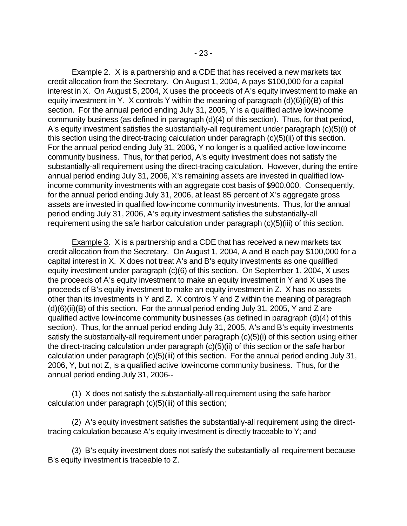Example 2. X is a partnership and a CDE that has received a new markets tax credit allocation from the Secretary. On August 1, 2004, A pays \$100,000 for a capital interest in X. On August 5, 2004, X uses the proceeds of A's equity investment to make an equity investment in Y. X controls Y within the meaning of paragraph (d)(6)(ii)(B) of this section. For the annual period ending July 31, 2005, Y is a qualified active low-income community business (as defined in paragraph (d)(4) of this section). Thus, for that period, A's equity investment satisfies the substantially-all requirement under paragraph (c)(5)(i) of this section using the direct-tracing calculation under paragraph (c)(5)(ii) of this section. For the annual period ending July 31, 2006, Y no longer is a qualified active low-income community business. Thus, for that period, A's equity investment does not satisfy the substantially-all requirement using the direct-tracing calculation. However, during the entire annual period ending July 31, 2006, X's remaining assets are invested in qualified lowincome community investments with an aggregate cost basis of \$900,000. Consequently, for the annual period ending July 31, 2006, at least 85 percent of X's aggregate gross assets are invested in qualified low-income community investments. Thus, for the annual period ending July 31, 2006, A's equity investment satisfies the substantially-all requirement using the safe harbor calculation under paragraph (c)(5)(iii) of this section.

Example 3. X is a partnership and a CDE that has received a new markets tax credit allocation from the Secretary. On August 1, 2004, A and B each pay \$100,000 for a capital interest in X. X does not treat A's and B's equity investments as one qualified equity investment under paragraph (c)(6) of this section. On September 1, 2004, X uses the proceeds of A's equity investment to make an equity investment in Y and X uses the proceeds of B's equity investment to make an equity investment in Z. X has no assets other than its investments in Y and Z. X controls Y and Z within the meaning of paragraph  $(d)(6)(ii)(B)$  of this section. For the annual period ending July 31, 2005, Y and Z are qualified active low-income community businesses (as defined in paragraph (d)(4) of this section). Thus, for the annual period ending July 31, 2005, A's and B's equity investments satisfy the substantially-all requirement under paragraph (c)(5)(i) of this section using either the direct-tracing calculation under paragraph (c)(5)(ii) of this section or the safe harbor calculation under paragraph (c)(5)(iii) of this section. For the annual period ending July 31, 2006, Y, but not Z, is a qualified active low-income community business. Thus, for the annual period ending July 31, 2006--

(1) X does not satisfy the substantially-all requirement using the safe harbor calculation under paragraph (c)(5)(iii) of this section;

(2) A's equity investment satisfies the substantially-all requirement using the directtracing calculation because A's equity investment is directly traceable to Y; and

(3) B's equity investment does not satisfy the substantially-all requirement because B's equity investment is traceable to Z.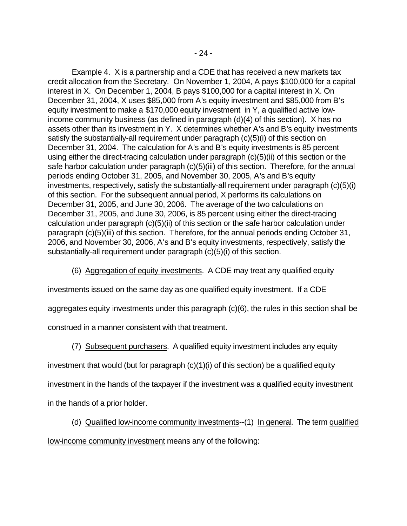Example 4. X is a partnership and a CDE that has received a new markets tax credit allocation from the Secretary. On November 1, 2004, A pays \$100,000 for a capital interest in X. On December 1, 2004, B pays \$100,000 for a capital interest in X. On December 31, 2004, X uses \$85,000 from A's equity investment and \$85,000 from B's equity investment to make a \$170,000 equity investment in Y, a qualified active lowincome community business (as defined in paragraph (d)(4) of this section). X has no assets other than its investment in Y. X determines whether A's and B's equity investments satisfy the substantially-all requirement under paragraph (c)(5)(i) of this section on December 31, 2004. The calculation for A's and B's equity investments is 85 percent using either the direct-tracing calculation under paragraph (c)(5)(ii) of this section or the safe harbor calculation under paragraph (c)(5)(iii) of this section. Therefore, for the annual periods ending October 31, 2005, and November 30, 2005, A's and B's equity investments, respectively, satisfy the substantially-all requirement under paragraph (c)(5)(i) of this section. For the subsequent annual period, X performs its calculations on December 31, 2005, and June 30, 2006. The average of the two calculations on December 31, 2005, and June 30, 2006, is 85 percent using either the direct-tracing calculation under paragraph (c)(5)(ii) of this section or the safe harbor calculation under paragraph (c)(5)(iii) of this section. Therefore, for the annual periods ending October 31, 2006, and November 30, 2006, A's and B's equity investments, respectively, satisfy the substantially-all requirement under paragraph (c)(5)(i) of this section.

(6) Aggregation of equity investments. A CDE may treat any qualified equity

investments issued on the same day as one qualified equity investment. If a CDE

aggregates equity investments under this paragraph (c)(6), the rules in this section shall be

construed in a manner consistent with that treatment.

(7) Subsequent purchasers. A qualified equity investment includes any equity

investment that would (but for paragraph (c)(1)(i) of this section) be a qualified equity

investment in the hands of the taxpayer if the investment was a qualified equity investment

in the hands of a prior holder.

(d) Qualified low-income community investments--(1) In general. The term qualified

low-income community investment means any of the following: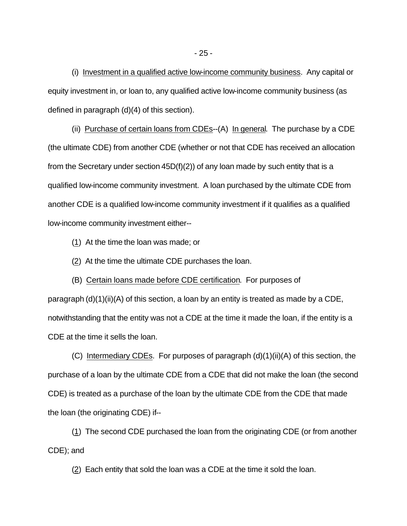(i) Investment in a qualified active low-income community business. Any capital or equity investment in, or loan to, any qualified active low-income community business (as defined in paragraph (d)(4) of this section).

(ii) Purchase of certain loans from CDEs--(A) In general. The purchase by a CDE (the ultimate CDE) from another CDE (whether or not that CDE has received an allocation from the Secretary under section  $45D(f)(2)$  of any loan made by such entity that is a qualified low-income community investment. A loan purchased by the ultimate CDE from another CDE is a qualified low-income community investment if it qualifies as a qualified low-income community investment either--

(1) At the time the loan was made; or

(2) At the time the ultimate CDE purchases the loan.

(B) Certain loans made before CDE certification. For purposes of

paragraph (d)(1)(ii)(A) of this section, a loan by an entity is treated as made by a CDE, notwithstanding that the entity was not a CDE at the time it made the loan, if the entity is a CDE at the time it sells the loan.

(C) Intermediary CDEs. For purposes of paragraph (d)(1)(ii)(A) of this section, the purchase of a loan by the ultimate CDE from a CDE that did not make the loan (the second CDE) is treated as a purchase of the loan by the ultimate CDE from the CDE that made the loan (the originating CDE) if--

(1) The second CDE purchased the loan from the originating CDE (or from another CDE); and

(2) Each entity that sold the loan was a CDE at the time it sold the loan.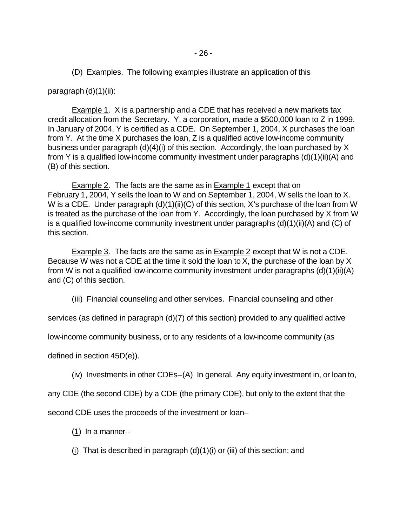(D) Examples. The following examples illustrate an application of this

paragraph (d)(1)(ii):

Example 1. X is a partnership and a CDE that has received a new markets tax credit allocation from the Secretary. Y, a corporation, made a \$500,000 loan to Z in 1999. In January of 2004, Y is certified as a CDE. On September 1, 2004, X purchases the loan from Y. At the time X purchases the loan, Z is a qualified active low-income community business under paragraph (d)(4)(i) of this section. Accordingly, the loan purchased by X from Y is a qualified low-income community investment under paragraphs (d)(1)(ii)(A) and (B) of this section.

Example 2. The facts are the same as in Example 1 except that on February 1, 2004, Y sells the loan to W and on September 1, 2004, W sells the loan to X. W is a CDE. Under paragraph (d)(1)(ii)(C) of this section, X's purchase of the loan from W is treated as the purchase of the loan from Y. Accordingly, the loan purchased by X from W is a qualified low-income community investment under paragraphs (d)(1)(ii)(A) and (C) of this section.

Example 3. The facts are the same as in Example 2 except that W is not a CDE. Because W was not a CDE at the time it sold the loan to X, the purchase of the loan by X from W is not a qualified low-income community investment under paragraphs (d)(1)(ii)(A) and (C) of this section.

(iii) Financial counseling and other services. Financial counseling and other

services (as defined in paragraph (d)(7) of this section) provided to any qualified active

low-income community business, or to any residents of a low-income community (as

defined in section 45D(e)).

(iv) Investments in other CDEs--(A) In general. Any equity investment in, or loan to,

any CDE (the second CDE) by a CDE (the primary CDE), but only to the extent that the

second CDE uses the proceeds of the investment or loan--

(1) In a manner--

(i) That is described in paragraph  $(d)(1)(i)$  or (iii) of this section; and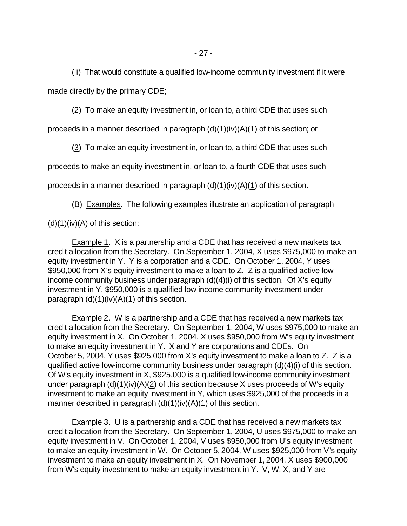(ii) That would constitute a qualified low-income community investment if it were made directly by the primary CDE;

(2) To make an equity investment in, or loan to, a third CDE that uses such

proceeds in a manner described in paragraph  $(d)(1)(iv)(A)(1)$  of this section; or

(3) To make an equity investment in, or loan to, a third CDE that uses such

proceeds to make an equity investment in, or loan to, a fourth CDE that uses such

proceeds in a manner described in paragraph  $(d)(1)(iv)(A)(1)$  of this section.

(B) Examples. The following examples illustrate an application of paragraph

 $(d)(1)(iv)(A)$  of this section:

Example 1. X is a partnership and a CDE that has received a new markets tax credit allocation from the Secretary. On September 1, 2004, X uses \$975,000 to make an equity investment in Y. Y is a corporation and a CDE. On October 1, 2004, Y uses \$950,000 from X's equity investment to make a loan to Z. Z is a qualified active lowincome community business under paragraph (d)(4)(i) of this section. Of X's equity investment in Y, \$950,000 is a qualified low-income community investment under paragraph  $(d)(1)(iv)(A)(1)$  of this section.

Example 2. W is a partnership and a CDE that has received a new markets tax credit allocation from the Secretary. On September 1, 2004, W uses \$975,000 to make an equity investment in X. On October 1, 2004, X uses \$950,000 from W's equity investment to make an equity investment in Y. X and Y are corporations and CDEs. On October 5, 2004, Y uses \$925,000 from X's equity investment to make a loan to Z. Z is a qualified active low-income community business under paragraph (d)(4)(i) of this section. Of W's equity investment in X, \$925,000 is a qualified low-income community investment under paragraph (d)(1)(iv)(A)(2) of this section because X uses proceeds of W's equity investment to make an equity investment in Y, which uses \$925,000 of the proceeds in a manner described in paragraph (d)(1)(iv)(A)(1) of this section.

Example 3. U is a partnership and a CDE that has received a new markets tax credit allocation from the Secretary. On September 1, 2004, U uses \$975,000 to make an equity investment in V. On October 1, 2004, V uses \$950,000 from U's equity investment to make an equity investment in W. On October 5, 2004, W uses \$925,000 from V's equity investment to make an equity investment in X. On November 1, 2004, X uses \$900,000 from W's equity investment to make an equity investment in Y. V, W, X, and Y are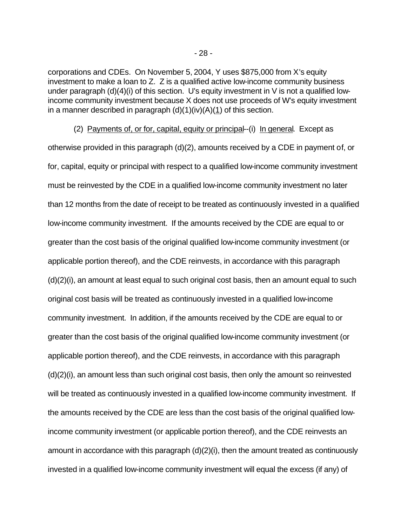corporations and CDEs. On November 5, 2004, Y uses \$875,000 from X's equity investment to make a loan to Z. Z is a qualified active low-income community business under paragraph (d)(4)(i) of this section. U's equity investment in V is not a qualified lowincome community investment because X does not use proceeds of W's equity investment in a manner described in paragraph  $(d)(1)(iv)(A)(1)$  of this section.

 (2) Payments of, or for, capital, equity or principal--(i) In general. Except as otherwise provided in this paragraph (d)(2), amounts received by a CDE in payment of, or for, capital, equity or principal with respect to a qualified low-income community investment must be reinvested by the CDE in a qualified low-income community investment no later than 12 months from the date of receipt to be treated as continuously invested in a qualified low-income community investment. If the amounts received by the CDE are equal to or greater than the cost basis of the original qualified low-income community investment (or applicable portion thereof), and the CDE reinvests, in accordance with this paragraph (d)(2)(i), an amount at least equal to such original cost basis, then an amount equal to such original cost basis will be treated as continuously invested in a qualified low-income community investment. In addition, if the amounts received by the CDE are equal to or greater than the cost basis of the original qualified low-income community investment (or applicable portion thereof), and the CDE reinvests, in accordance with this paragraph (d)(2)(i), an amount less than such original cost basis, then only the amount so reinvested will be treated as continuously invested in a qualified low-income community investment. If the amounts received by the CDE are less than the cost basis of the original qualified lowincome community investment (or applicable portion thereof), and the CDE reinvests an amount in accordance with this paragraph (d)(2)(i), then the amount treated as continuously invested in a qualified low-income community investment will equal the excess (if any) of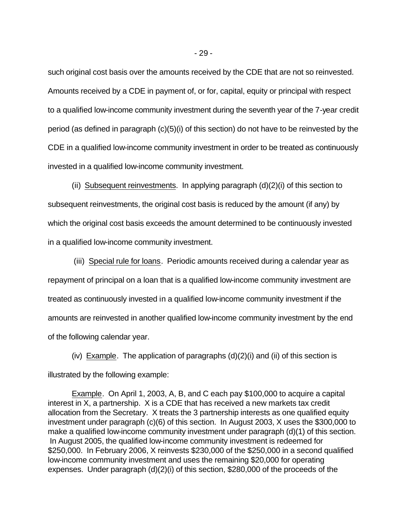such original cost basis over the amounts received by the CDE that are not so reinvested. Amounts received by a CDE in payment of, or for, capital, equity or principal with respect to a qualified low-income community investment during the seventh year of the 7-year credit period (as defined in paragraph (c)(5)(i) of this section) do not have to be reinvested by the CDE in a qualified low-income community investment in order to be treated as continuously invested in a qualified low-income community investment.

(ii) Subsequent reinvestments. In applying paragraph  $(d)(2)(i)$  of this section to subsequent reinvestments, the original cost basis is reduced by the amount (if any) by which the original cost basis exceeds the amount determined to be continuously invested in a qualified low-income community investment.

 (iii) Special rule for loans. Periodic amounts received during a calendar year as repayment of principal on a loan that is a qualified low-income community investment are treated as continuously invested in a qualified low-income community investment if the amounts are reinvested in another qualified low-income community investment by the end of the following calendar year.

(iv) Example. The application of paragraphs  $(d)(2)(i)$  and (ii) of this section is illustrated by the following example:

Example. On April 1, 2003, A, B, and C each pay \$100,000 to acquire a capital interest in X, a partnership. X is a CDE that has received a new markets tax credit allocation from the Secretary. X treats the 3 partnership interests as one qualified equity investment under paragraph (c)(6) of this section. In August 2003, X uses the \$300,000 to make a qualified low-income community investment under paragraph (d)(1) of this section. In August 2005, the qualified low-income community investment is redeemed for \$250,000. In February 2006, X reinvests \$230,000 of the \$250,000 in a second qualified low-income community investment and uses the remaining \$20,000 for operating expenses. Under paragraph (d)(2)(i) of this section, \$280,000 of the proceeds of the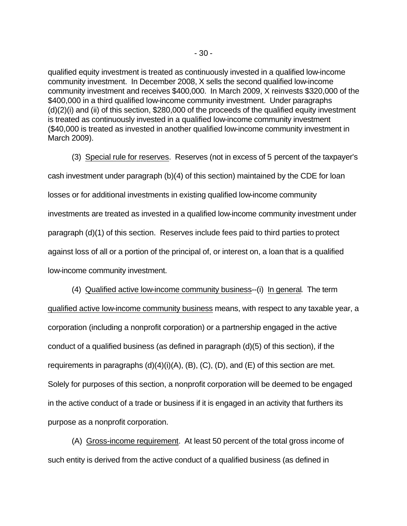qualified equity investment is treated as continuously invested in a qualified low-income community investment. In December 2008, X sells the second qualified low-income community investment and receives \$400,000. In March 2009, X reinvests \$320,000 of the \$400,000 in a third qualified low-income community investment. Under paragraphs (d)(2)(i) and (ii) of this section, \$280,000 of the proceeds of the qualified equity investment is treated as continuously invested in a qualified low-income community investment (\$40,000 is treated as invested in another qualified low-income community investment in March 2009).

(3) Special rule for reserves. Reserves (not in excess of 5 percent of the taxpayer's cash investment under paragraph (b)(4) of this section) maintained by the CDE for loan losses or for additional investments in existing qualified low-income community investments are treated as invested in a qualified low-income community investment under paragraph (d)(1) of this section. Reserves include fees paid to third parties to protect against loss of all or a portion of the principal of, or interest on, a loan that is a qualified low-income community investment.

(4) Qualified active low-income community business--(i) In general. The term qualified active low-income community business means, with respect to any taxable year, a corporation (including a nonprofit corporation) or a partnership engaged in the active conduct of a qualified business (as defined in paragraph (d)(5) of this section), if the requirements in paragraphs  $(d)(4)(i)(A)$ ,  $(B)$ ,  $(C)$ ,  $(D)$ , and  $(E)$  of this section are met. Solely for purposes of this section, a nonprofit corporation will be deemed to be engaged in the active conduct of a trade or business if it is engaged in an activity that furthers its purpose as a nonprofit corporation.

(A) Gross-income requirement. At least 50 percent of the total gross income of such entity is derived from the active conduct of a qualified business (as defined in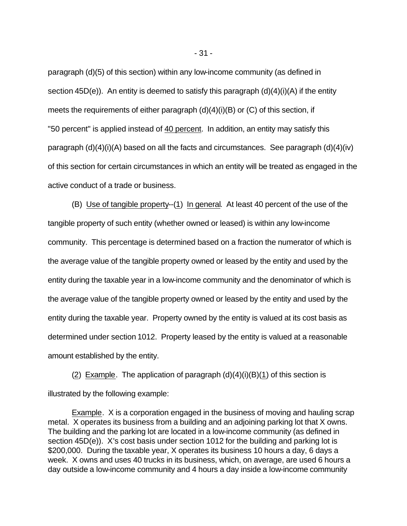paragraph (d)(5) of this section) within any low-income community (as defined in section 45D(e)). An entity is deemed to satisfy this paragraph  $(d)(4)(i)(A)$  if the entity meets the requirements of either paragraph  $(d)(4)(i)(B)$  or  $(C)$  of this section, if "50 percent" is applied instead of 40 percent. In addition, an entity may satisfy this paragraph  $(d)(4)(i)(A)$  based on all the facts and circumstances. See paragraph  $(d)(4)(iv)$ of this section for certain circumstances in which an entity will be treated as engaged in the active conduct of a trade or business.

(B) Use of tangible property--(1) In general. At least 40 percent of the use of the tangible property of such entity (whether owned or leased) is within any low-income community. This percentage is determined based on a fraction the numerator of which is the average value of the tangible property owned or leased by the entity and used by the entity during the taxable year in a low-income community and the denominator of which is the average value of the tangible property owned or leased by the entity and used by the entity during the taxable year. Property owned by the entity is valued at its cost basis as determined under section 1012. Property leased by the entity is valued at a reasonable amount established by the entity.

(2) Example. The application of paragraph  $(d)(4)(i)(B)(1)$  of this section is illustrated by the following example:

Example. X is a corporation engaged in the business of moving and hauling scrap metal. X operates its business from a building and an adjoining parking lot that X owns. The building and the parking lot are located in a low-income community (as defined in section 45D(e)). X's cost basis under section 1012 for the building and parking lot is \$200,000. During the taxable year, X operates its business 10 hours a day, 6 days a week. X owns and uses 40 trucks in its business, which, on average, are used 6 hours a day outside a low-income community and 4 hours a day inside a low-income community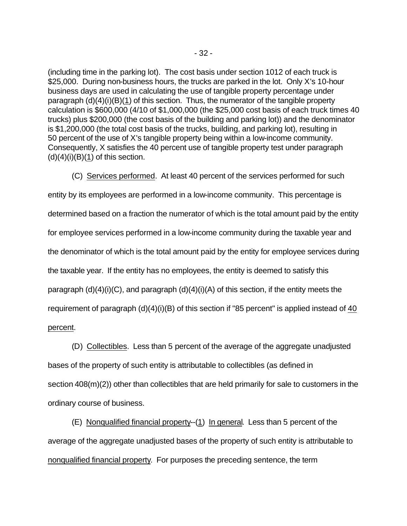(including time in the parking lot). The cost basis under section 1012 of each truck is \$25,000. During non-business hours, the trucks are parked in the lot. Only X's 10-hour business days are used in calculating the use of tangible property percentage under paragraph (d)(4)(i)(B)(1) of this section. Thus, the numerator of the tangible property calculation is \$600,000 (4/10 of \$1,000,000 (the \$25,000 cost basis of each truck times 40 trucks) plus \$200,000 (the cost basis of the building and parking lot)) and the denominator is \$1,200,000 (the total cost basis of the trucks, building, and parking lot), resulting in 50 percent of the use of X's tangible property being within a low-income community. Consequently, X satisfies the 40 percent use of tangible property test under paragraph  $(d)(4)(i)(B)(1)$  of this section.

(C) Services performed. At least 40 percent of the services performed for such entity by its employees are performed in a low-income community. This percentage is determined based on a fraction the numerator of which is the total amount paid by the entity for employee services performed in a low-income community during the taxable year and the denominator of which is the total amount paid by the entity for employee services during the taxable year. If the entity has no employees, the entity is deemed to satisfy this paragraph  $(d)(4)(i)(C)$ , and paragraph  $(d)(4)(i)(A)$  of this section, if the entity meets the requirement of paragraph (d)(4)(i)(B) of this section if "85 percent" is applied instead of 40 percent.

(D) Collectibles. Less than 5 percent of the average of the aggregate unadjusted bases of the property of such entity is attributable to collectibles (as defined in section 408(m)(2)) other than collectibles that are held primarily for sale to customers in the ordinary course of business.

(E) Nonqualified financial property--(1) In general. Less than 5 percent of the average of the aggregate unadjusted bases of the property of such entity is attributable to nonqualified financial property. For purposes the preceding sentence, the term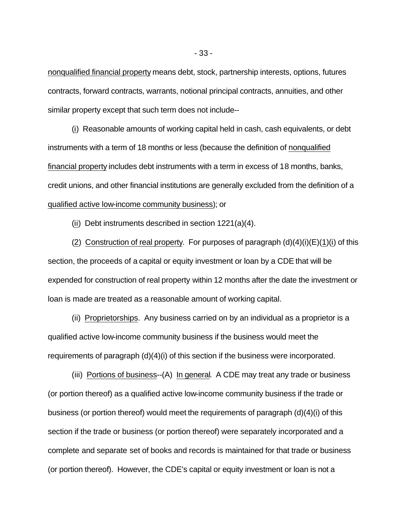nonqualified financial property means debt, stock, partnership interests, options, futures contracts, forward contracts, warrants, notional principal contracts, annuities, and other similar property except that such term does not include--

(i) Reasonable amounts of working capital held in cash, cash equivalents, or debt instruments with a term of 18 months or less (because the definition of nonqualified financial property includes debt instruments with a term in excess of 18 months, banks, credit unions, and other financial institutions are generally excluded from the definition of a qualified active low-income community business); or

(ii) Debt instruments described in section 1221(a)(4).

(2) Construction of real property. For purposes of paragraph  $(d)(4)(i)(E)(1)(i)$  of this section, the proceeds of a capital or equity investment or loan by a CDE that will be expended for construction of real property within 12 months after the date the investment or loan is made are treated as a reasonable amount of working capital.

(ii) Proprietorships. Any business carried on by an individual as a proprietor is a qualified active low-income community business if the business would meet the requirements of paragraph (d)(4)(i) of this section if the business were incorporated.

(iii) Portions of business--(A) In general. A CDE may treat any trade or business (or portion thereof) as a qualified active low-income community business if the trade or business (or portion thereof) would meet the requirements of paragraph (d)(4)(i) of this section if the trade or business (or portion thereof) were separately incorporated and a complete and separate set of books and records is maintained for that trade or business (or portion thereof). However, the CDE's capital or equity investment or loan is not a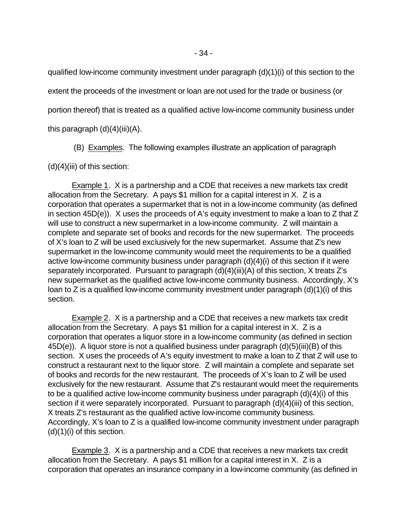qualified low-income community investment under paragraph (d)(1)(i) of this section to the extent the proceeds of the investment or loan are not used for the trade or business (or portion thereof) that is treated as a qualified active low-income community business under this paragraph  $(d)(4)(iii)(A)$ .

(B) Examples. The following examples illustrate an application of paragraph

 $(d)(4)(iii)$  of this section:

Example 1. X is a partnership and a CDE that receives a new markets tax credit allocation from the Secretary. A pays \$1 million for a capital interest in X. Z is a corporation that operates a supermarket that is not in a low-income community (as defined in section 45D(e)). X uses the proceeds of A's equity investment to make a loan to Z that Z will use to construct a new supermarket in a low-income community. Z will maintain a complete and separate set of books and records for the new supermarket. The proceeds of X's loan to Z will be used exclusively for the new supermarket. Assume that Z's new supermarket in the low-income community would meet the requirements to be a qualified active low-income community business under paragraph (d)(4)(i) of this section if it were separately incorporated. Pursuant to paragraph (d)(4)(iii)(A) of this section, X treats Z's new supermarket as the qualified active low-income community business. Accordingly, X's loan to Z is a qualified low-income community investment under paragraph (d)(1)(i) of this section.

Example 2. X is a partnership and a CDE that receives a new markets tax credit allocation from the Secretary. A pays \$1 million for a capital interest in X. Z is a corporation that operates a liquor store in a low-income community (as defined in section 45D(e)). A liquor store is not a qualified business under paragraph (d)(5)(iii)(B) of this section. X uses the proceeds of A's equity investment to make a loan to Z that Z will use to construct a restaurant next to the liquor store. Z will maintain a complete and separate set of books and records for the new restaurant. The proceeds of X's loan to Z will be used exclusively for the new restaurant. Assume that Z's restaurant would meet the requirements to be a qualified active low-income community business under paragraph (d)(4)(i) of this section if it were separately incorporated. Pursuant to paragraph (d)(4)(iii) of this section, X treats Z's restaurant as the qualified active low-income community business. Accordingly, X's loan to Z is a qualified low-income community investment under paragraph (d)(1)(i) of this section.

Example 3. X is a partnership and a CDE that receives a new markets tax credit allocation from the Secretary. A pays \$1 million for a capital interest in X. Z is a corporation that operates an insurance company in a low-income community (as defined in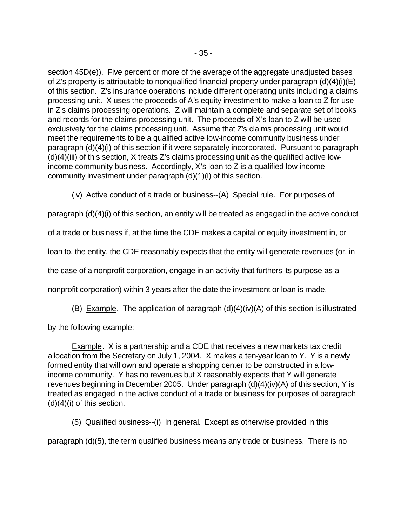section 45D(e)). Five percent or more of the average of the aggregate unadjusted bases of Z's property is attributable to nonqualified financial property under paragraph (d)(4)(i)(E) of this section. Z's insurance operations include different operating units including a claims processing unit. X uses the proceeds of A's equity investment to make a loan to Z for use in Z's claims processing operations. Z will maintain a complete and separate set of books and records for the claims processing unit. The proceeds of X's loan to Z will be used exclusively for the claims processing unit. Assume that Z's claims processing unit would meet the requirements to be a qualified active low-income community business under paragraph (d)(4)(i) of this section if it were separately incorporated. Pursuant to paragraph  $(d)(4)(iii)$  of this section, X treats Z's claims processing unit as the qualified active lowincome community business. Accordingly, X's loan to Z is a qualified low-income community investment under paragraph (d)(1)(i) of this section.

(iv) Active conduct of a trade or business--(A) Special rule. For purposes of

paragraph (d)(4)(i) of this section, an entity will be treated as engaged in the active conduct

of a trade or business if, at the time the CDE makes a capital or equity investment in, or

loan to, the entity, the CDE reasonably expects that the entity will generate revenues (or, in

the case of a nonprofit corporation, engage in an activity that furthers its purpose as a

nonprofit corporation) within 3 years after the date the investment or loan is made.

(B) Example. The application of paragraph (d)(4)(iv)(A) of this section is illustrated

by the following example:

Example. X is a partnership and a CDE that receives a new markets tax credit allocation from the Secretary on July 1, 2004. X makes a ten-year loan to Y. Y is a newly formed entity that will own and operate a shopping center to be constructed in a lowincome community. Y has no revenues but X reasonably expects that Y will generate revenues beginning in December 2005. Under paragraph (d)(4)(iv)(A) of this section, Y is treated as engaged in the active conduct of a trade or business for purposes of paragraph (d)(4)(i) of this section.

(5) Qualified business--(i) In general. Except as otherwise provided in this

paragraph (d)(5), the term qualified business means any trade or business. There is no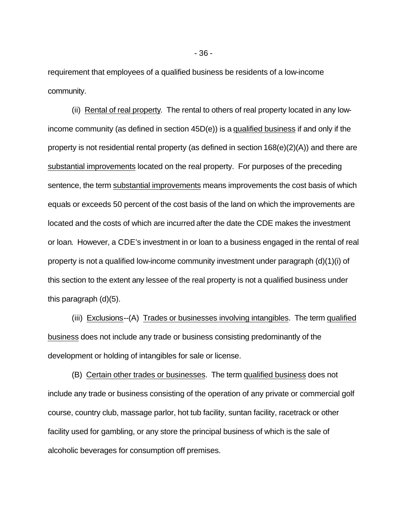requirement that employees of a qualified business be residents of a low-income community.

(ii) Rental of real property. The rental to others of real property located in any lowincome community (as defined in section 45D(e)) is a qualified business if and only if the property is not residential rental property (as defined in section 168(e)(2)(A)) and there are substantial improvements located on the real property. For purposes of the preceding sentence, the term substantial improvements means improvements the cost basis of which equals or exceeds 50 percent of the cost basis of the land on which the improvements are located and the costs of which are incurred after the date the CDE makes the investment or loan. However, a CDE's investment in or loan to a business engaged in the rental of real property is not a qualified low-income community investment under paragraph (d)(1)(i) of this section to the extent any lessee of the real property is not a qualified business under this paragraph (d)(5).

(iii) Exclusions--(A) Trades or businesses involving intangibles. The term qualified business does not include any trade or business consisting predominantly of the development or holding of intangibles for sale or license.

(B) Certain other trades or businesses. The term qualified business does not include any trade or business consisting of the operation of any private or commercial golf course, country club, massage parlor, hot tub facility, suntan facility, racetrack or other facility used for gambling, or any store the principal business of which is the sale of alcoholic beverages for consumption off premises.

- 36 -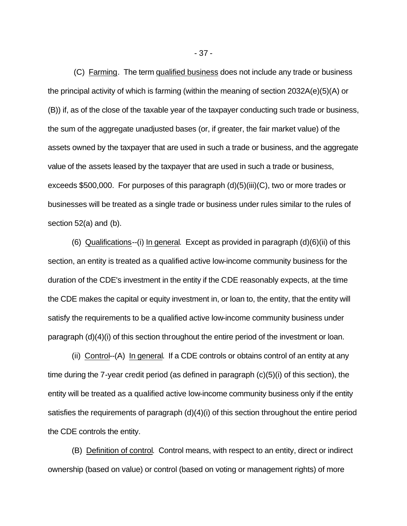(C) Farming. The term qualified business does not include any trade or business the principal activity of which is farming (within the meaning of section 2032A(e)(5)(A) or (B)) if, as of the close of the taxable year of the taxpayer conducting such trade or business, the sum of the aggregate unadjusted bases (or, if greater, the fair market value) of the assets owned by the taxpayer that are used in such a trade or business, and the aggregate value of the assets leased by the taxpayer that are used in such a trade or business, exceeds \$500,000. For purposes of this paragraph (d)(5)(iii)(C), two or more trades or businesses will be treated as a single trade or business under rules similar to the rules of section 52(a) and (b).

(6) Qualifications--(i) In general. Except as provided in paragraph (d)(6)(ii) of this section, an entity is treated as a qualified active low-income community business for the duration of the CDE's investment in the entity if the CDE reasonably expects, at the time the CDE makes the capital or equity investment in, or loan to, the entity, that the entity will satisfy the requirements to be a qualified active low-income community business under paragraph (d)(4)(i) of this section throughout the entire period of the investment or loan.

(ii) Control--(A) In general. If a CDE controls or obtains control of an entity at any time during the 7-year credit period (as defined in paragraph (c)(5)(i) of this section), the entity will be treated as a qualified active low-income community business only if the entity satisfies the requirements of paragraph (d)(4)(i) of this section throughout the entire period the CDE controls the entity.

(B) Definition of control. Control means, with respect to an entity, direct or indirect ownership (based on value) or control (based on voting or management rights) of more

- 37 -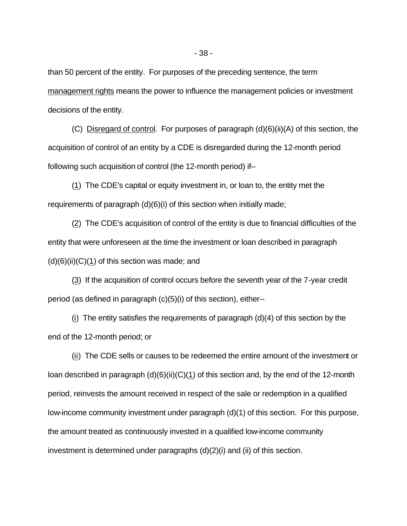than 50 percent of the entity. For purposes of the preceding sentence, the term management rights means the power to influence the management policies or investment decisions of the entity.

(C) Disregard of control. For purposes of paragraph (d)(6)(ii)(A) of this section, the acquisition of control of an entity by a CDE is disregarded during the 12-month period following such acquisition of control (the 12-month period) if--

(1) The CDE's capital or equity investment in, or loan to, the entity met the requirements of paragraph (d)(6)(i) of this section when initially made;

(2) The CDE's acquisition of control of the entity is due to financial difficulties of the entity that were unforeseen at the time the investment or loan described in paragraph  $(d)(6)(ii)(C)(1)$  of this section was made; and

(3) If the acquisition of control occurs before the seventh year of the 7-year credit period (as defined in paragraph (c)(5)(i) of this section), either--

(i) The entity satisfies the requirements of paragraph (d)(4) of this section by the end of the 12-month period; or

(ii) The CDE sells or causes to be redeemed the entire amount of the investment or loan described in paragraph (d)(6)(ii)(C)(1) of this section and, by the end of the 12-month period, reinvests the amount received in respect of the sale or redemption in a qualified low-income community investment under paragraph (d)(1) of this section. For this purpose, the amount treated as continuously invested in a qualified low-income community investment is determined under paragraphs (d)(2)(i) and (ii) of this section.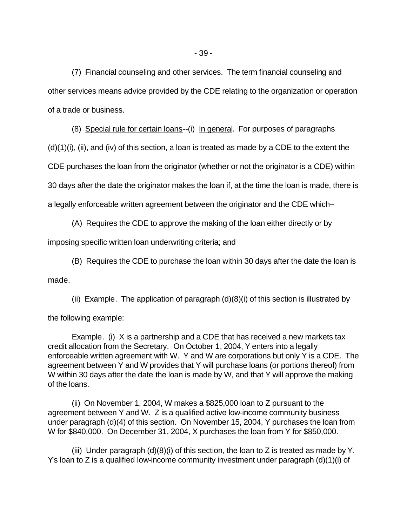(7) Financial counseling and other services. The term financial counseling and other services means advice provided by the CDE relating to the organization or operation of a trade or business.

(8) Special rule for certain loans--(i) In general. For purposes of paragraphs

 $(d)(1)(i)$ , (ii), and (iv) of this section, a loan is treated as made by a CDE to the extent the

CDE purchases the loan from the originator (whether or not the originator is a CDE) within

30 days after the date the originator makes the loan if, at the time the loan is made, there is

a legally enforceable written agreement between the originator and the CDE which--

(A) Requires the CDE to approve the making of the loan either directly or by

imposing specific written loan underwriting criteria; and

(B) Requires the CDE to purchase the loan within 30 days after the date the loan is

made.

(ii) Example. The application of paragraph  $(d)(8)(i)$  of this section is illustrated by

the following example:

Example. (i) X is a partnership and a CDE that has received a new markets tax credit allocation from the Secretary. On October 1, 2004, Y enters into a legally enforceable written agreement with W. Y and W are corporations but only Y is a CDE. The agreement between Y and W provides that Y will purchase loans (or portions thereof) from W within 30 days after the date the loan is made by W, and that Y will approve the making of the loans.

(ii) On November 1, 2004, W makes a \$825,000 loan to Z pursuant to the agreement between Y and W. Z is a qualified active low-income community business under paragraph (d)(4) of this section. On November 15, 2004, Y purchases the loan from W for \$840,000. On December 31, 2004, X purchases the loan from Y for \$850,000.

(iii) Under paragraph  $(d)(8)(i)$  of this section, the loan to Z is treated as made by Y. Y's loan to Z is a qualified low-income community investment under paragraph (d)(1)(i) of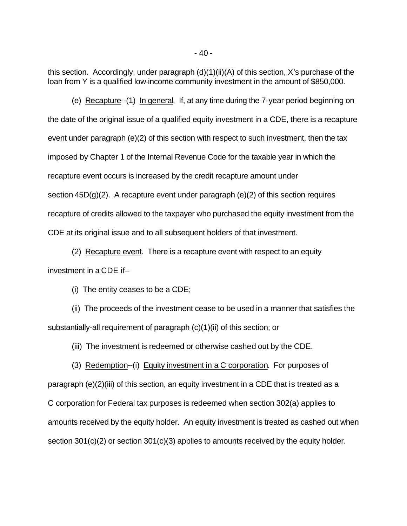this section. Accordingly, under paragraph (d)(1)(ii)(A) of this section, X's purchase of the loan from Y is a qualified low-income community investment in the amount of \$850,000.

(e) Recapture--(1) In general. If, at any time during the 7-year period beginning on the date of the original issue of a qualified equity investment in a CDE, there is a recapture event under paragraph (e)(2) of this section with respect to such investment, then the tax imposed by Chapter 1 of the Internal Revenue Code for the taxable year in which the recapture event occurs is increased by the credit recapture amount under section  $45D(g)(2)$ . A recapture event under paragraph (e)(2) of this section requires recapture of credits allowed to the taxpayer who purchased the equity investment from the CDE at its original issue and to all subsequent holders of that investment.

(2) Recapture event. There is a recapture event with respect to an equity investment in a CDE if--

(i) The entity ceases to be a CDE;

(ii) The proceeds of the investment cease to be used in a manner that satisfies the substantially-all requirement of paragraph (c)(1)(ii) of this section; or

(iii) The investment is redeemed or otherwise cashed out by the CDE.

(3) Redemption--(i) Equity investment in a C corporation. For purposes of paragraph (e)(2)(iii) of this section, an equity investment in a CDE that is treated as a C corporation for Federal tax purposes is redeemed when section 302(a) applies to amounts received by the equity holder. An equity investment is treated as cashed out when section 301(c)(2) or section 301(c)(3) applies to amounts received by the equity holder.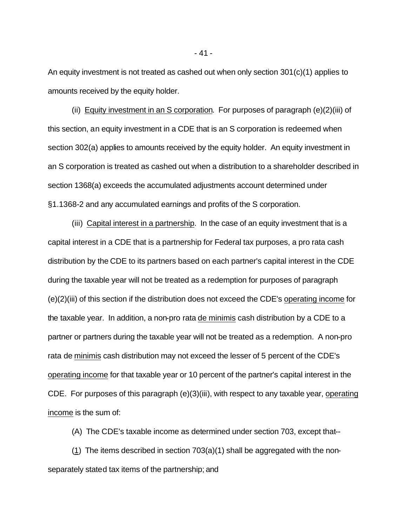An equity investment is not treated as cashed out when only section 301(c)(1) applies to amounts received by the equity holder.

(ii) Equity investment in an S corporation. For purposes of paragraph (e)(2)(iii) of this section, an equity investment in a CDE that is an S corporation is redeemed when section 302(a) applies to amounts received by the equity holder. An equity investment in an S corporation is treated as cashed out when a distribution to a shareholder described in section 1368(a) exceeds the accumulated adjustments account determined under §1.1368-2 and any accumulated earnings and profits of the S corporation.

(iii) Capital interest in a partnership. In the case of an equity investment that is a capital interest in a CDE that is a partnership for Federal tax purposes, a pro rata cash distribution by the CDE to its partners based on each partner's capital interest in the CDE during the taxable year will not be treated as a redemption for purposes of paragraph (e)(2)(iii) of this section if the distribution does not exceed the CDE's operating income for the taxable year. In addition, a non-pro rata de minimis cash distribution by a CDE to a partner or partners during the taxable year will not be treated as a redemption. A non-pro rata de minimis cash distribution may not exceed the lesser of 5 percent of the CDE's operating income for that taxable year or 10 percent of the partner's capital interest in the CDE. For purposes of this paragraph (e)(3)(iii), with respect to any taxable year, operating income is the sum of:

(A) The CDE's taxable income as determined under section 703, except that--

 $(1)$  The items described in section 703 $(a)(1)$  shall be aggregated with the nonseparately stated tax items of the partnership; and

- 41 -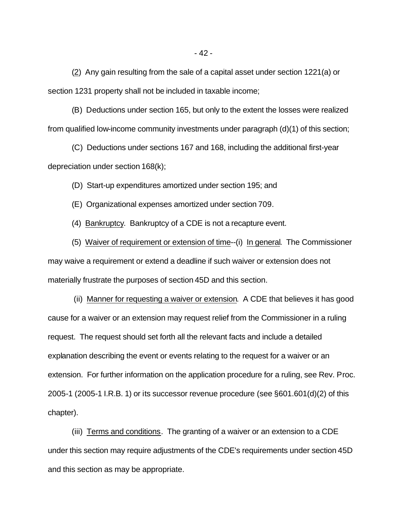(2) Any gain resulting from the sale of a capital asset under section 1221(a) or section 1231 property shall not be included in taxable income;

(B) Deductions under section 165, but only to the extent the losses were realized from qualified low-income community investments under paragraph (d)(1) of this section;

(C) Deductions under sections 167 and 168, including the additional first-year depreciation under section 168(k);

(D) Start-up expenditures amortized under section 195; and

(E) Organizational expenses amortized under section 709.

(4) Bankruptcy. Bankruptcy of a CDE is not a recapture event.

(5) Waiver of requirement or extension of time--(i) In general. The Commissioner may waive a requirement or extend a deadline if such waiver or extension does not materially frustrate the purposes of section 45D and this section.

 (ii) Manner for requesting a waiver or extension. A CDE that believes it has good cause for a waiver or an extension may request relief from the Commissioner in a ruling request. The request should set forth all the relevant facts and include a detailed explanation describing the event or events relating to the request for a waiver or an extension. For further information on the application procedure for a ruling, see Rev. Proc. 2005-1 (2005-1 I.R.B. 1) or its successor revenue procedure (see §601.601(d)(2) of this chapter).

(iii) Terms and conditions. The granting of a waiver or an extension to a CDE under this section may require adjustments of the CDE's requirements under section 45D and this section as may be appropriate.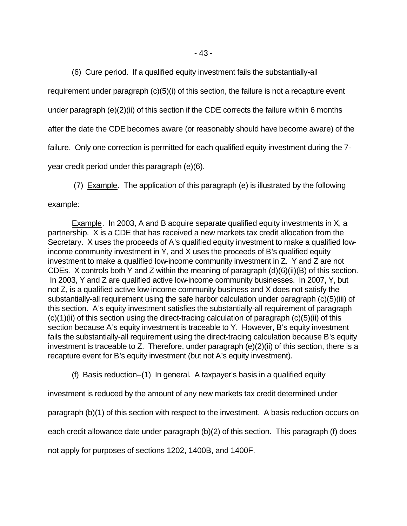(6) Cure period. If a qualified equity investment fails the substantially-all

requirement under paragraph (c)(5)(i) of this section, the failure is not a recapture event

under paragraph (e)(2)(ii) of this section if the CDE corrects the failure within 6 months

after the date the CDE becomes aware (or reasonably should have become aware) of the

failure. Only one correction is permitted for each qualified equity investment during the 7-

year credit period under this paragraph (e)(6).

(7) Example. The application of this paragraph (e) is illustrated by the following

example:

Example. In 2003, A and B acquire separate qualified equity investments in X, a partnership. X is a CDE that has received a new markets tax credit allocation from the Secretary. X uses the proceeds of A's qualified equity investment to make a qualified lowincome community investment in Y, and X uses the proceeds of B's qualified equity investment to make a qualified low-income community investment in Z. Y and Z are not CDEs. X controls both Y and Z within the meaning of paragraph (d)(6)(ii)(B) of this section. In 2003, Y and Z are qualified active low-income community businesses. In 2007, Y, but not Z, is a qualified active low-income community business and X does not satisfy the substantially-all requirement using the safe harbor calculation under paragraph (c)(5)(iii) of this section. A's equity investment satisfies the substantially-all requirement of paragraph  $(c)(1)(ii)$  of this section using the direct-tracing calculation of paragraph  $(c)(5)(ii)$  of this section because A's equity investment is traceable to Y. However, B's equity investment fails the substantially-all requirement using the direct-tracing calculation because B's equity investment is traceable to Z. Therefore, under paragraph (e)(2)(ii) of this section, there is a recapture event for B's equity investment (but not A's equity investment).

(f) Basis reduction--(1) In general. A taxpayer's basis in a qualified equity

investment is reduced by the amount of any new markets tax credit determined under

paragraph (b)(1) of this section with respect to the investment. A basis reduction occurs on

each credit allowance date under paragraph (b)(2) of this section. This paragraph (f) does

not apply for purposes of sections 1202, 1400B, and 1400F.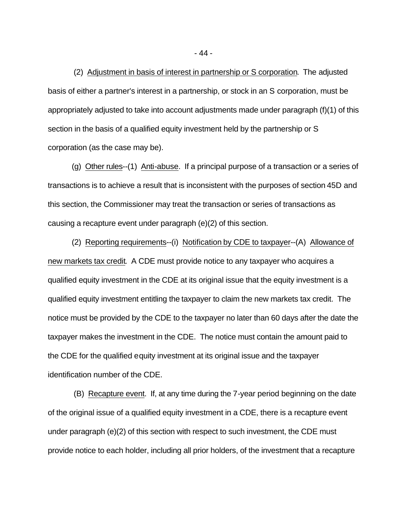(2) Adjustment in basis of interest in partnership or S corporation. The adjusted basis of either a partner's interest in a partnership, or stock in an S corporation, must be appropriately adjusted to take into account adjustments made under paragraph (f)(1) of this section in the basis of a qualified equity investment held by the partnership or S corporation (as the case may be).

(g) Other rules--(1) Anti-abuse. If a principal purpose of a transaction or a series of transactions is to achieve a result that is inconsistent with the purposes of section 45D and this section, the Commissioner may treat the transaction or series of transactions as causing a recapture event under paragraph (e)(2) of this section.

(2) Reporting requirements--(i) Notification by CDE to taxpayer--(A) Allowance of new markets tax credit. A CDE must provide notice to any taxpayer who acquires a qualified equity investment in the CDE at its original issue that the equity investment is a qualified equity investment entitling the taxpayer to claim the new markets tax credit. The notice must be provided by the CDE to the taxpayer no later than 60 days after the date the taxpayer makes the investment in the CDE. The notice must contain the amount paid to the CDE for the qualified equity investment at its original issue and the taxpayer identification number of the CDE.

 (B) Recapture event. If, at any time during the 7-year period beginning on the date of the original issue of a qualified equity investment in a CDE, there is a recapture event under paragraph (e)(2) of this section with respect to such investment, the CDE must provide notice to each holder, including all prior holders, of the investment that a recapture

- 44 -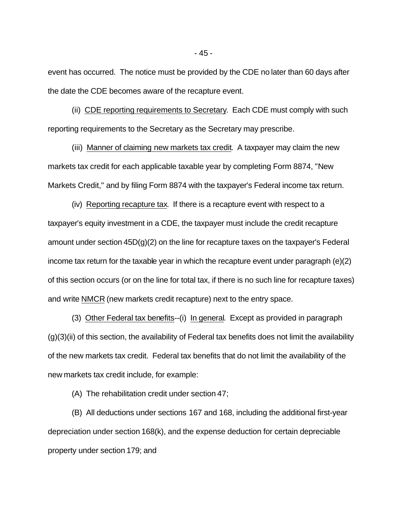event has occurred. The notice must be provided by the CDE no later than 60 days after the date the CDE becomes aware of the recapture event.

(ii) CDE reporting requirements to Secretary. Each CDE must comply with such reporting requirements to the Secretary as the Secretary may prescribe.

(iii) Manner of claiming new markets tax credit. A taxpayer may claim the new markets tax credit for each applicable taxable year by completing Form 8874, "New Markets Credit," and by filing Form 8874 with the taxpayer's Federal income tax return.

(iv) Reporting recapture tax. If there is a recapture event with respect to a taxpayer's equity investment in a CDE, the taxpayer must include the credit recapture amount under section 45D(g)(2) on the line for recapture taxes on the taxpayer's Federal income tax return for the taxable year in which the recapture event under paragraph (e)(2) of this section occurs (or on the line for total tax, if there is no such line for recapture taxes) and write NMCR (new markets credit recapture) next to the entry space.

(3) Other Federal tax benefits--(i) In general. Except as provided in paragraph  $(g)(3)(ii)$  of this section, the availability of Federal tax benefits does not limit the availability of the new markets tax credit. Federal tax benefits that do not limit the availability of the new markets tax credit include, for example:

(A) The rehabilitation credit under section 47;

(B) All deductions under sections 167 and 168, including the additional first-year depreciation under section 168(k), and the expense deduction for certain depreciable property under section 179; and

- 45 -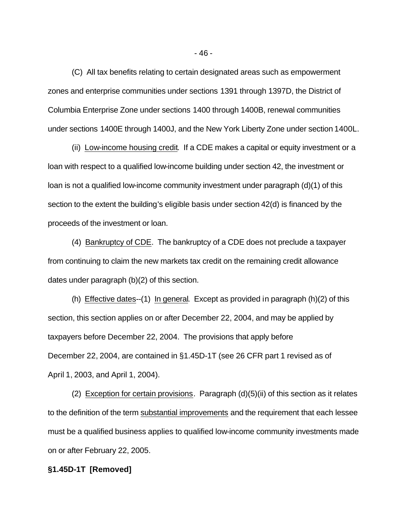(C) All tax benefits relating to certain designated areas such as empowerment zones and enterprise communities under sections 1391 through 1397D, the District of Columbia Enterprise Zone under sections 1400 through 1400B, renewal communities under sections 1400E through 1400J, and the New York Liberty Zone under section 1400L.

(ii) Low-income housing credit. If a CDE makes a capital or equity investment or a loan with respect to a qualified low-income building under section 42, the investment or loan is not a qualified low-income community investment under paragraph (d)(1) of this section to the extent the building's eligible basis under section 42(d) is financed by the proceeds of the investment or loan.

(4) Bankruptcy of CDE. The bankruptcy of a CDE does not preclude a taxpayer from continuing to claim the new markets tax credit on the remaining credit allowance dates under paragraph (b)(2) of this section.

(h) Effective dates--(1) In general. Except as provided in paragraph (h)(2) of this section, this section applies on or after December 22, 2004, and may be applied by taxpayers before December 22, 2004. The provisions that apply before December 22, 2004, are contained in §1.45D-1T (see 26 CFR part 1 revised as of April 1, 2003, and April 1, 2004).

(2) Exception for certain provisions. Paragraph  $(d)(5)(ii)$  of this section as it relates to the definition of the term substantial improvements and the requirement that each lessee must be a qualified business applies to qualified low-income community investments made on or after February 22, 2005.

### **§1.45D-1T [Removed]**

- 46 -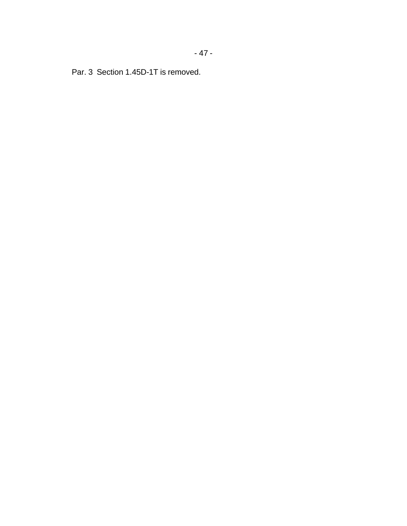Par. 3 Section 1.45D-1T is removed.